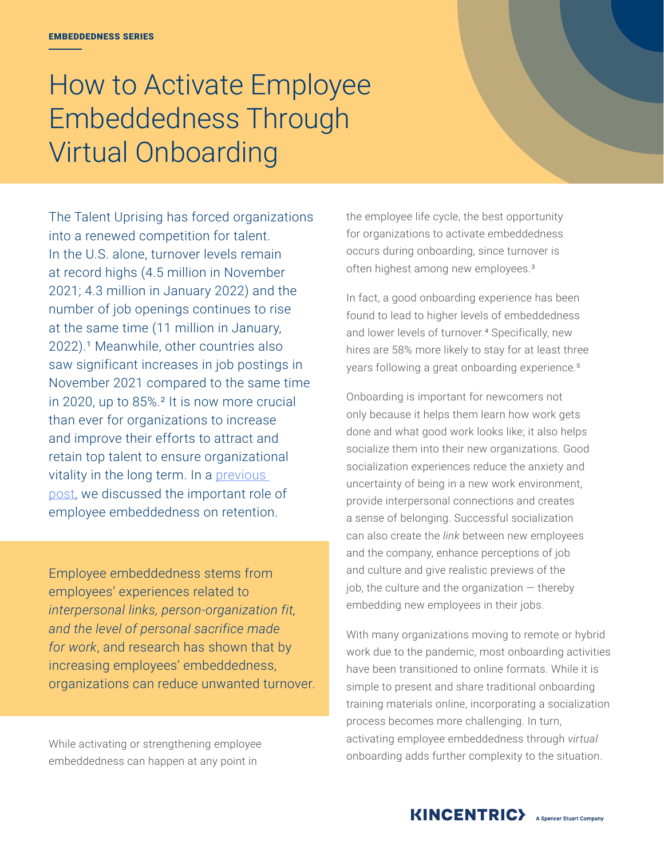# How to Activate Employee Embeddedness Through Virtual Onboarding

The Talent Uprising has forced organizations into a renewed competition for talent. In the U.S. alone, turnover levels remain at record highs (4.5 million in November 2021; 4.3 million in January 2022) and the number of job openings continues to rise at the same time (11 million in January, 2022).<sup>1</sup> Meanwhile, other countries also saw significant increases in job postings in November 2021 compared to the same time in 2020, up to 85%.² It is now more crucial than ever for organizations to increase and improve their efforts to attract and retain top talent to ensure organizational vitality in the long term. In a previous [post](https://www.kincentric.com/insights/addressing-the-talent-uprising-the-importance-of-embeddedness), we discussed the important role of employee embeddedness on retention.

Employee embeddedness stems from employees' experiences related to *interpersonal links, person-organization fit, and the level of personal sacrifice made for work*, and research has shown that by increasing employees' embeddedness, organizations can reduce unwanted turnover.

While activating or strengthening employee embeddedness can happen at any point in

the employee life cycle, the best opportunity for organizations to activate embeddedness occurs during onboarding, since turnover is often highest among new employees.<sup>3</sup>

In fact, a good onboarding experience has been found to lead to higher levels of embeddedness and lower levels of turnover.<sup>4</sup> Specifically, new hires are 58% more likely to stay for at least three years following a great onboarding experience.5

Onboarding is important for newcomers not only because it helps them learn how work gets done and what good work looks like; it also helps socialize them into their new organizations. Good socialization experiences reduce the anxiety and uncertainty of being in a new work environment, provide interpersonal connections and creates a sense of belonging. Successful socialization can also create the *link* between new employees and the company, enhance perceptions of job and culture and give realistic previews of the job, the culture and the organization  $-$  thereby embedding new employees in their jobs.

With many organizations moving to remote or hybrid work due to the pandemic, most onboarding activities have been transitioned to online formats. While it is simple to present and share traditional onboarding training materials online, incorporating a socialization process becomes more challenging. In turn, activating employee embeddedness through *virtual* onboarding adds further complexity to the situation.

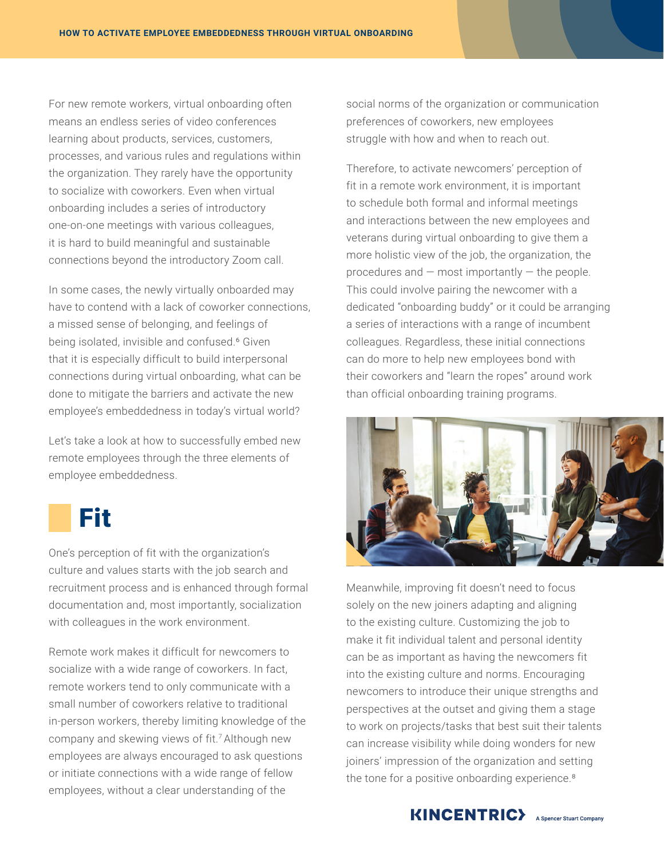For new remote workers, virtual onboarding often means an endless series of video conferences learning about products, services, customers, processes, and various rules and regulations within the organization. They rarely have the opportunity to socialize with coworkers. Even when virtual onboarding includes a series of introductory one-on-one meetings with various colleagues, it is hard to build meaningful and sustainable connections beyond the introductory Zoom call.

In some cases, the newly virtually onboarded may have to contend with a lack of coworker connections, a missed sense of belonging, and feelings of being isolated, invisible and confused.<sup>6</sup> Given that it is especially difficult to build interpersonal connections during virtual onboarding, what can be done to mitigate the barriers and activate the new employee's embeddedness in today's virtual world?

Let's take a look at how to successfully embed new remote employees through the three elements of employee embeddedness.

### Fit

One's perception of fit with the organization's culture and values starts with the job search and recruitment process and is enhanced through formal documentation and, most importantly, socialization with colleagues in the work environment.

Remote work makes it difficult for newcomers to socialize with a wide range of coworkers. In fact, remote workers tend to only communicate with a small number of coworkers relative to traditional in-person workers, thereby limiting knowledge of the company and skewing views of fit.<sup>7</sup> Although new employees are always encouraged to ask questions or initiate connections with a wide range of fellow employees, without a clear understanding of the

social norms of the organization or communication preferences of coworkers, new employees struggle with how and when to reach out.

Therefore, to activate newcomers' perception of fit in a remote work environment, it is important to schedule both formal and informal meetings and interactions between the new employees and veterans during virtual onboarding to give them a more holistic view of the job, the organization, the procedures and  $-$  most importantly  $-$  the people. This could involve pairing the newcomer with a dedicated "onboarding buddy" or it could be arranging a series of interactions with a range of incumbent colleagues. Regardless, these initial connections can do more to help new employees bond with their coworkers and "learn the ropes" around work than official onboarding training programs.



Meanwhile, improving fit doesn't need to focus solely on the new joiners adapting and aligning to the existing culture. Customizing the job to make it fit individual talent and personal identity can be as important as having the newcomers fit into the existing culture and norms. Encouraging newcomers to introduce their unique strengths and perspectives at the outset and giving them a stage to work on projects/tasks that best suit their talents can increase visibility while doing wonders for new joiners' impression of the organization and setting the tone for a positive onboarding experience.<sup>8</sup>

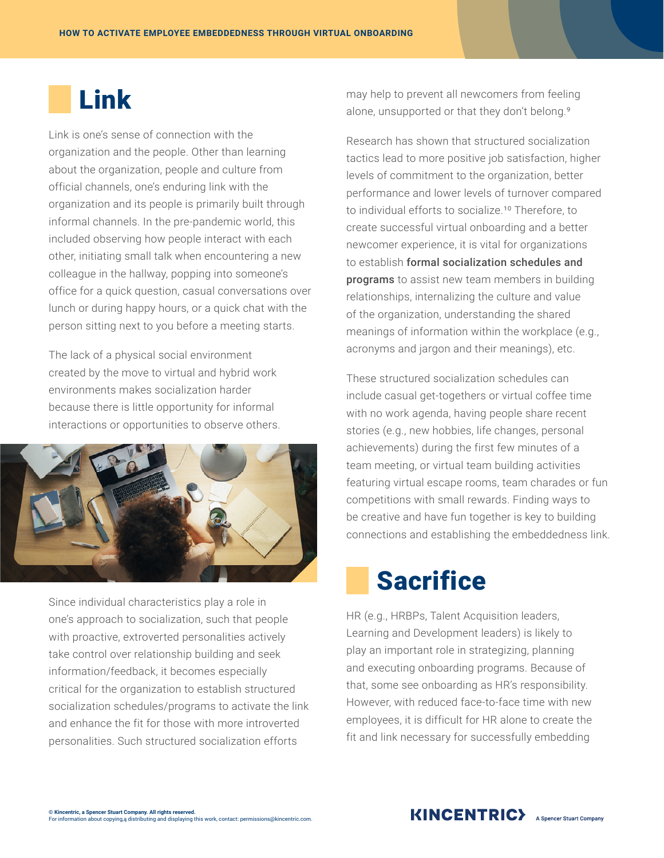## Link

Link is one's sense of connection with the organization and the people. Other than learning about the organization, people and culture from official channels, one's enduring link with the organization and its people is primarily built through informal channels. In the pre-pandemic world, this included observing how people interact with each other, initiating small talk when encountering a new colleague in the hallway, popping into someone's office for a quick question, casual conversations over lunch or during happy hours, or a quick chat with the person sitting next to you before a meeting starts.

The lack of a physical social environment created by the move to virtual and hybrid work environments makes socialization harder because there is little opportunity for informal interactions or opportunities to observe others.



Since individual characteristics play a role in one's approach to socialization, such that people with proactive, extroverted personalities actively take control over relationship building and seek information/feedback, it becomes especially critical for the organization to establish structured socialization schedules/programs to activate the link and enhance the fit for those with more introverted personalities. Such structured socialization efforts

may help to prevent all newcomers from feeling alone, unsupported or that they don't belong.<sup>9</sup>

Research has shown that structured socialization tactics lead to more positive job satisfaction, higher levels of commitment to the organization, better performance and lower levels of turnover compared to individual efforts to socialize.<sup>10</sup> Therefore, to create successful virtual onboarding and a better newcomer experience, it is vital for organizations to establish formal socialization schedules and programs to assist new team members in building relationships, internalizing the culture and value of the organization, understanding the shared meanings of information within the workplace (e.g., acronyms and jargon and their meanings), etc.

These structured socialization schedules can include casual get-togethers or virtual coffee time with no work agenda, having people share recent stories (e.g., new hobbies, life changes, personal achievements) during the first few minutes of a team meeting, or virtual team building activities featuring virtual escape rooms, team charades or fun competitions with small rewards. Finding ways to be creative and have fun together is key to building connections and establishing the embeddedness link.

### **Sacrifice**

HR (e.g., HRBPs, Talent Acquisition leaders, Learning and Development leaders) is likely to play an important role in strategizing, planning and executing onboarding programs. Because of that, some see onboarding as HR's responsibility. However, with reduced face-to-face time with new employees, it is difficult for HR alone to create the fit and link necessary for successfully embedding